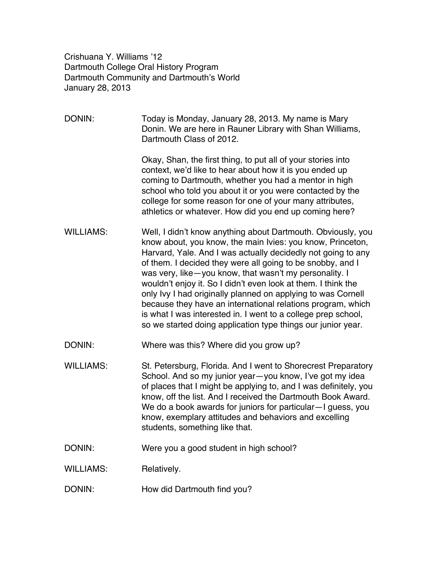Crishuana Y. Williams '12 Dartmouth College Oral History Program Dartmouth Community and Dartmouth's World January 28, 2013

| DONIN:           | Today is Monday, January 28, 2013. My name is Mary<br>Donin. We are here in Rauner Library with Shan Williams,<br>Dartmouth Class of 2012.                                                                                                                                                                                                                                                                                                                                                                                                                                                                                                          |
|------------------|-----------------------------------------------------------------------------------------------------------------------------------------------------------------------------------------------------------------------------------------------------------------------------------------------------------------------------------------------------------------------------------------------------------------------------------------------------------------------------------------------------------------------------------------------------------------------------------------------------------------------------------------------------|
|                  | Okay, Shan, the first thing, to put all of your stories into<br>context, we'd like to hear about how it is you ended up<br>coming to Dartmouth, whether you had a mentor in high<br>school who told you about it or you were contacted by the<br>college for some reason for one of your many attributes,<br>athletics or whatever. How did you end up coming here?                                                                                                                                                                                                                                                                                 |
| <b>WILLIAMS:</b> | Well, I didn't know anything about Dartmouth. Obviously, you<br>know about, you know, the main Ivies: you know, Princeton,<br>Harvard, Yale. And I was actually decidedly not going to any<br>of them. I decided they were all going to be snobby, and I<br>was very, like-you know, that wasn't my personality. I<br>wouldn't enjoy it. So I didn't even look at them. I think the<br>only Ivy I had originally planned on applying to was Cornell<br>because they have an international relations program, which<br>is what I was interested in. I went to a college prep school,<br>so we started doing application type things our junior year. |
| DONIN:           | Where was this? Where did you grow up?                                                                                                                                                                                                                                                                                                                                                                                                                                                                                                                                                                                                              |
| <b>WILLIAMS:</b> | St. Petersburg, Florida. And I went to Shorecrest Preparatory<br>School. And so my junior year-you know, I've got my idea<br>of places that I might be applying to, and I was definitely, you<br>know, off the list. And I received the Dartmouth Book Award.<br>We do a book awards for juniors for particular-I guess, you<br>know, exemplary attitudes and behaviors and excelling<br>students, something like that.                                                                                                                                                                                                                             |
| DONIN:           | Were you a good student in high school?                                                                                                                                                                                                                                                                                                                                                                                                                                                                                                                                                                                                             |
| <b>WILLIAMS:</b> | Relatively.                                                                                                                                                                                                                                                                                                                                                                                                                                                                                                                                                                                                                                         |
| DONIN:           | How did Dartmouth find you?                                                                                                                                                                                                                                                                                                                                                                                                                                                                                                                                                                                                                         |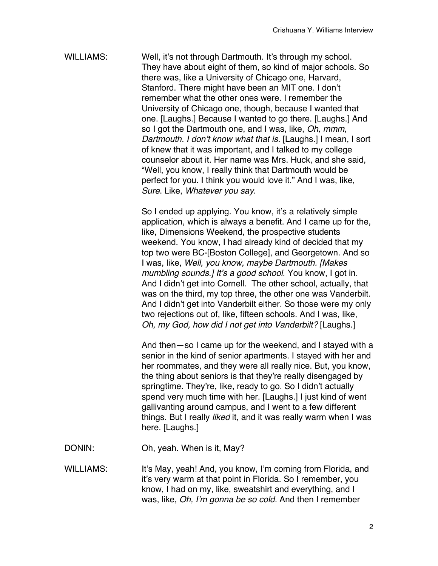WILLIAMS: Well, it's not through Dartmouth. It's through my school. They have about eight of them, so kind of major schools. So there was, like a University of Chicago one, Harvard, Stanford. There might have been an MIT one. I don't remember what the other ones were. I remember the University of Chicago one, though, because I wanted that one. [Laughs.] Because I wanted to go there. [Laughs.] And so I got the Dartmouth one, and I was, like, *Oh, mmm, Dartmouth. I don*'*t know what that is.* [Laughs.] I mean, I sort of knew that it was important, and I talked to my college counselor about it. Her name was Mrs. Huck, and she said, "Well, you know, I really think that Dartmouth would be perfect for you. I think you would love it." And I was, like, *Sure*. Like, *Whatever you say*.

> So I ended up applying. You know, it's a relatively simple application, which is always a benefit. And I came up for the, like, Dimensions Weekend, the prospective students weekend. You know, I had already kind of decided that my top two were BC-[Boston College], and Georgetown. And so I was, like, *Well, you know, maybe Dartmouth. [Makes mumbling sounds.] It*'*s a good school*. You know, I got in. And I didn't get into Cornell. The other school, actually, that was on the third, my top three, the other one was Vanderbilt. And I didn't get into Vanderbilt either. So those were my only two rejections out of, like, fifteen schools. And I was, like, *Oh, my God, how did I not get into Vanderbilt?* [Laughs.]

> And then—so I came up for the weekend, and I stayed with a senior in the kind of senior apartments. I stayed with her and her roommates, and they were all really nice. But, you know, the thing about seniors is that they're really disengaged by springtime. They're, like, ready to go. So I didn't actually spend very much time with her. [Laughs.] I just kind of went gallivanting around campus, and I went to a few different things. But I really *liked* it, and it was really warm when I was here. [Laughs.]

- DONIN: Oh, yeah. When is it, May?
- WILLIAMS: It's May, yeah! And, you know, I'm coming from Florida, and it's very warm at that point in Florida. So I remember, you know, I had on my, like, sweatshirt and everything, and I was, like, *Oh, I*'*m gonna be so cold.* And then I remember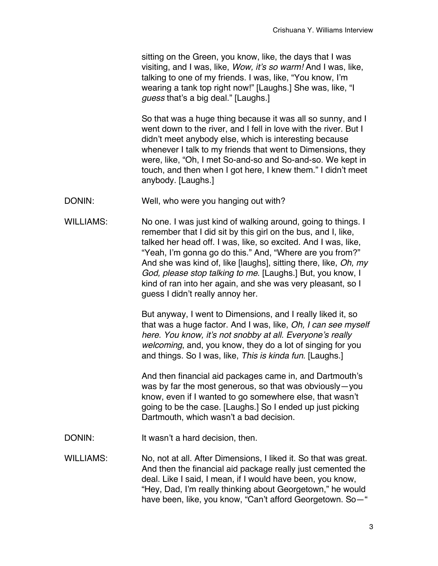sitting on the Green, you know, like, the days that I was visiting, and I was, like, *Wow, it*'*s so warm!* And I was, like, talking to one of my friends. I was, like, "You know, I'm wearing a tank top right now!" [Laughs.] She was, like, "I *guess* that's a big deal." [Laughs.]

So that was a huge thing because it was all so sunny, and I went down to the river, and I fell in love with the river. But I didn't meet anybody else, which is interesting because whenever I talk to my friends that went to Dimensions, they were, like, "Oh, I met So-and-so and So-and-so. We kept in touch, and then when I got here, I knew them." I didn't meet anybody. [Laughs.]

- DONIN: Well, who were you hanging out with?
- WILLIAMS: No one. I was just kind of walking around, going to things. I remember that I did sit by this girl on the bus, and I, like, talked her head off. I was, like, so excited. And I was, like, "Yeah, I'm gonna go do this." And, "Where are you from?" And she was kind of, like [laughs], sitting there, like, *Oh, my God, please stop talking to me*. [Laughs.] But, you know, I kind of ran into her again, and she was very pleasant, so I guess I didn't really annoy her.

But anyway, I went to Dimensions, and I really liked it, so that was a huge factor. And I was, like, *Oh, I can see myself here. You know, it*'*s not snobby at all. Everyone*'*s really welcoming*, and, you know, they do a lot of singing for you and things. So I was, like, *This is kinda fun*. [Laughs.]

And then financial aid packages came in, and Dartmouth's was by far the most generous, so that was obviously—you know, even if I wanted to go somewhere else, that wasn't going to be the case. [Laughs.] So I ended up just picking Dartmouth, which wasn't a bad decision.

DONIN: It wasn't a hard decision, then.

WILLIAMS: No, not at all. After Dimensions, I liked it. So that was great. And then the financial aid package really just cemented the deal. Like I said, I mean, if I would have been, you know, "Hey, Dad, I'm really thinking about Georgetown," he would have been, like, you know, "Can't afford Georgetown. So—"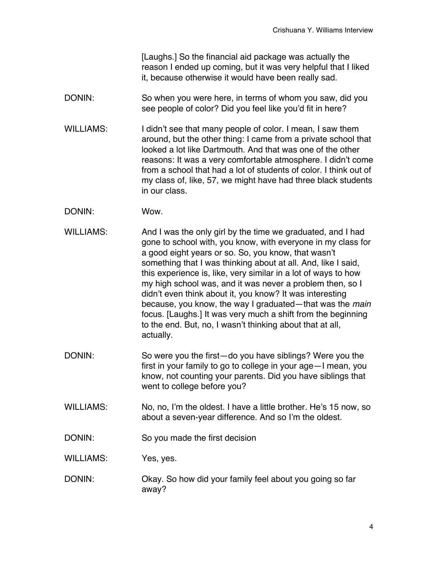[Laughs.] So the financial aid package was actually the reason I ended up coming, but it was very helpful that I liked it, because otherwise it would have been really sad.

- DONIN: So when you were here, in terms of whom you saw, did you see people of color? Did you feel like you'd fit in here?
- WILLIAMS: I didn't see that many people of color. I mean, I saw them around, but the other thing: I came from a private school that looked a lot like Dartmouth. And that was one of the other reasons: It was a very comfortable atmosphere. I didn't come from a school that had a lot of students of color. I think out of my class of, like, 57, we might have had three black students in our class.
- DONIN: Wow.
- WILLIAMS: And I was the only girl by the time we graduated, and I had gone to school with, you know, with everyone in my class for a good eight years or so. So, you know, that wasn't something that I was thinking about at all. And, like I said, this experience is, like, very similar in a lot of ways to how my high school was, and it was never a problem then, so I didn't even think about it, you know? It was interesting because, you know, the way I graduated—that was the *main* focus. [Laughs.] It was very much a shift from the beginning to the end. But, no, I wasn't thinking about that at all, actually.
- DONIN: So were you the first—do you have siblings? Were you the first in your family to go to college in your age—I mean, you know, not counting your parents. Did you have siblings that went to college before you?
- WILLIAMS: No, no, I'm the oldest. I have a little brother. He's 15 now, so about a seven-year difference. And so I'm the oldest.
- DONIN: So you made the first decision
- WILLIAMS: Yes, yes.
- DONIN: Okay. So how did your family feel about you going so far away?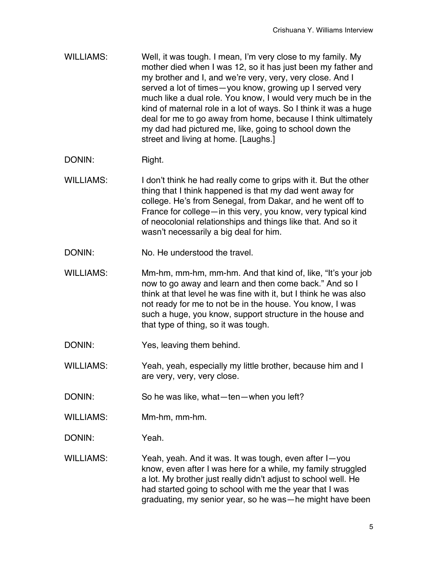- WILLIAMS: Well, it was tough. I mean, I'm very close to my family. My mother died when I was 12, so it has just been my father and my brother and I, and we're very, very, very close. And I served a lot of times—you know, growing up I served very much like a dual role. You know, I would very much be in the kind of maternal role in a lot of ways. So I think it was a huge deal for me to go away from home, because I think ultimately my dad had pictured me, like, going to school down the street and living at home. [Laughs.]
- DONIN: Right.
- WILLIAMS: I don't think he had really come to grips with it. But the other thing that I think happened is that my dad went away for college. He's from Senegal, from Dakar, and he went off to France for college—in this very, you know, very typical kind of neocolonial relationships and things like that. And so it wasn't necessarily a big deal for him.
- DONIN: No. He understood the travel.
- WILLIAMS: Mm-hm, mm-hm, mm-hm. And that kind of, like, "It's your job now to go away and learn and then come back." And so I think at that level he was fine with it, but I think he was also not ready for me to not be in the house. You know, I was such a huge, you know, support structure in the house and that type of thing, so it was tough.
- DONIN: Yes, leaving them behind.
- WILLIAMS: Yeah, yeah, especially my little brother, because him and I are very, very, very close.
- DONIN: So he was like, what—ten—when you left?
- WILLIAMS: Mm-hm, mm-hm.
- DONIN: Yeah.
- WILLIAMS: Yeah, yeah. And it was. It was tough, even after I—you know, even after I was here for a while, my family struggled a lot. My brother just really didn't adjust to school well. He had started going to school with me the year that I was graduating, my senior year, so he was—he might have been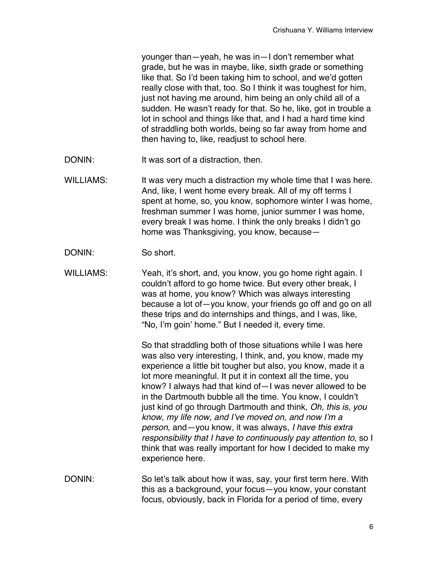younger than—yeah, he was in—I don't remember what grade, but he was in maybe, like, sixth grade or something like that. So I'd been taking him to school, and we'd gotten really close with that, too. So I think it was toughest for him, just not having me around, him being an only child all of a sudden. He wasn't ready for that. So he, like, got in trouble a lot in school and things like that, and I had a hard time kind of straddling both worlds, being so far away from home and then having to, like, readjust to school here.

- DONIN: It was sort of a distraction, then.
- WILLIAMS: It was very much a distraction my whole time that I was here. And, like, I went home every break. All of my off terms I spent at home, so, you know, sophomore winter I was home, freshman summer I was home, junior summer I was home, every break I was home. I think the only breaks I didn't go home was Thanksgiving, you know, because—
- DONIN: So short.
- WILLIAMS: Yeah, it's short, and, you know, you go home right again. I couldn't afford to go home twice. But every other break, I was at home, you know? Which was always interesting because a lot of—you know, your friends go off and go on all these trips and do internships and things, and I was, like, "No, I'm goin' home." But I needed it, every time.

So that straddling both of those situations while I was here was also very interesting, I think, and, you know, made my experience a little bit tougher but also, you know, made it a lot more meaningful. It put it in context all the time, you know? I always had that kind of—I was never allowed to be in the Dartmouth bubble all the time. You know, I couldn't just kind of go through Dartmouth and think, *Oh, this is, you know, my life now, and I*'*ve moved on, and now I*'*m a person*, and—you know, it was always, *I have this extra responsibility that I have to continuously pay attention to*, so I think that was really important for how I decided to make my experience here.

DONIN: So let's talk about how it was, say, your first term here. With this as a background, your focus—you know, your constant focus, obviously, back in Florida for a period of time, every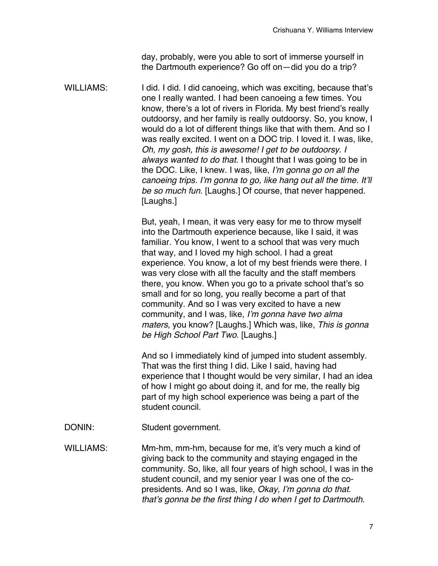day, probably, were you able to sort of immerse yourself in the Dartmouth experience? Go off on—did you do a trip?

WILLIAMS: I did. I did. I did canoeing, which was exciting, because that's one I really wanted. I had been canoeing a few times. You know, there's a lot of rivers in Florida. My best friend's really outdoorsy, and her family is really outdoorsy. So, you know, I would do a lot of different things like that with them. And so I was really excited. I went on a DOC trip. I loved it. I was, like, *Oh, my gosh, this is awesome! I get to be outdoorsy. I always wanted to do that.* I thought that I was going to be in the DOC. Like, I knew. I was, like, *I*'*m gonna go on all the canoeing trips. I*'*m gonna to go, like hang out all the time. It*'*ll be so much fun.* [Laughs.] Of course, that never happened. [Laughs.]

> But, yeah, I mean, it was very easy for me to throw myself into the Dartmouth experience because, like I said, it was familiar. You know, I went to a school that was very much that way, and I loved my high school. I had a great experience. You know, a lot of my best friends were there. I was very close with all the faculty and the staff members there, you know. When you go to a private school that's so small and for so long, you really become a part of that community. And so I was very excited to have a new community, and I was, like, *I*'*m gonna have two alma maters*, you know? [Laughs.] Which was, like, *This is gonna be High School Part Two*. [Laughs.]

And so I immediately kind of jumped into student assembly. That was the first thing I did. Like I said, having had experience that I thought would be very similar, I had an idea of how I might go about doing it, and for me, the really big part of my high school experience was being a part of the student council.

DONIN: Student government.

WILLIAMS: Mm-hm, mm-hm, because for me, it's very much a kind of giving back to the community and staying engaged in the community. So, like, all four years of high school, I was in the student council, and my senior year I was one of the copresidents. And so I was, like, *Okay, I*'*m gonna do that. that*'*s gonna be the first thing I do when I get to Dartmouth*.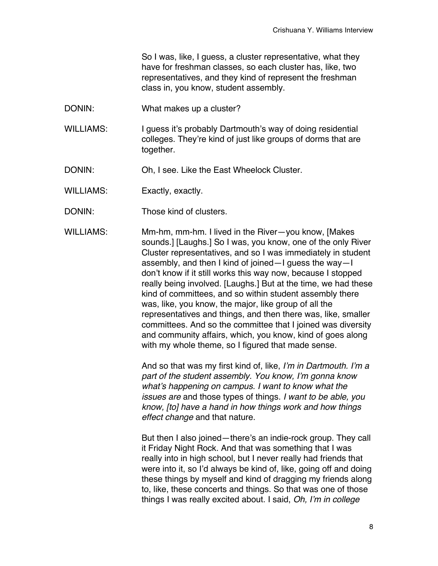So I was, like, I guess, a cluster representative, what they have for freshman classes, so each cluster has, like, two representatives, and they kind of represent the freshman class in, you know, student assembly.

- DONIN: What makes up a cluster?
- WILLIAMS: I guess it's probably Dartmouth's way of doing residential colleges. They're kind of just like groups of dorms that are together.
- DONIN: Oh, I see. Like the East Wheelock Cluster.
- WILLIAMS: Exactly, exactly.
- DONIN: Those kind of clusters.

WILLIAMS: Mm-hm, mm-hm. I lived in the River—you know, [Makes sounds.] [Laughs.] So I was, you know, one of the only River Cluster representatives, and so I was immediately in student assembly, and then I kind of joined—I guess the way—I don't know if it still works this way now, because I stopped really being involved. [Laughs.] But at the time, we had these kind of committees, and so within student assembly there was, like, you know, the major, like group of all the representatives and things, and then there was, like, smaller committees. And so the committee that I joined was diversity and community affairs, which, you know, kind of goes along with my whole theme, so I figured that made sense.

> And so that was my first kind of, like, *I*'*m in Dartmouth. I*'*m a part of the student assembly. You know, I*'*m gonna know what*'*s happening on campus. I want to know what the issues are* and those types of things. *I want to be able, you know, [to] have a hand in how things work and how things effect change* and that nature.

> But then I also joined—there's an indie-rock group. They call it Friday Night Rock. And that was something that I was really into in high school, but I never really had friends that were into it, so I'd always be kind of, like, going off and doing these things by myself and kind of dragging my friends along to, like, these concerts and things. So that was one of those things I was really excited about. I said, *Oh, I*'*m in college*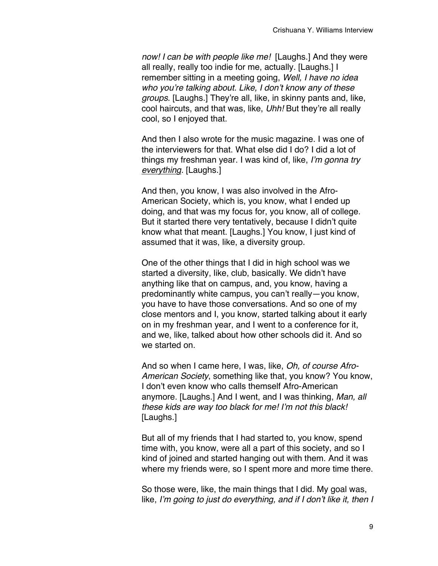*now! I can be with people like me!* [Laughs.] And they were all really, really too indie for me, actually. [Laughs.] I remember sitting in a meeting going, *Well, I have no idea who you*'*re talking about. Like, I don*'*t know any of these groups*. [Laughs.] They're all, like, in skinny pants and, like, cool haircuts, and that was, like, *Uhh!* But they're all really cool, so I enjoyed that.

And then I also wrote for the music magazine. I was one of the interviewers for that. What else did I do? I did a lot of things my freshman year. I was kind of, like, *I*'*m gonna try everything.* [Laughs.]

And then, you know, I was also involved in the Afro-American Society, which is, you know, what I ended up doing, and that was my focus for, you know, all of college. But it started there very tentatively, because I didn't quite know what that meant. [Laughs.] You know, I just kind of assumed that it was, like, a diversity group.

One of the other things that I did in high school was we started a diversity, like, club, basically. We didn't have anything like that on campus, and, you know, having a predominantly white campus, you can't really—you know, you have to have those conversations. And so one of my close mentors and I, you know, started talking about it early on in my freshman year, and I went to a conference for it, and we, like, talked about how other schools did it. And so we started on.

And so when I came here, I was, like, *Oh, of course Afro-American Society*, something like that, you know? You know, I don't even know who calls themself Afro-American anymore. [Laughs.] And I went, and I was thinking, *Man, all these kids are way too black for me! I*'*m not this black!* [Laughs.]

But all of my friends that I had started to, you know, spend time with, you know, were all a part of this society, and so I kind of joined and started hanging out with them. And it was where my friends were, so I spent more and more time there.

So those were, like, the main things that I did. My goal was, like, *I*'*m going to just do everything, and if I don*'*t like it, then I*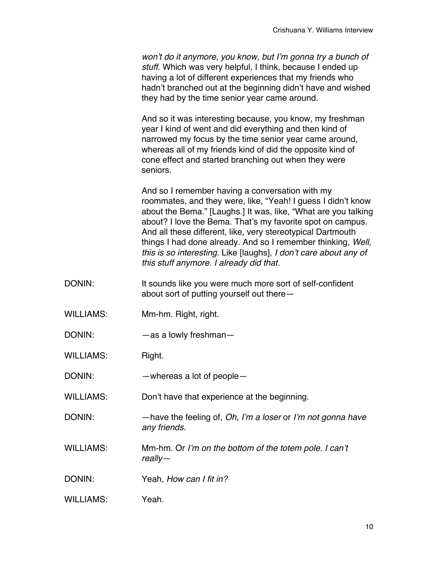*won*'*t do it anymore, you know, but I*'*m gonna try a bunch of stuff.* Which was very helpful, I think, because I ended up having a lot of different experiences that my friends who hadn't branched out at the beginning didn't have and wished they had by the time senior year came around.

And so it was interesting because, you know, my freshman year I kind of went and did everything and then kind of narrowed my focus by the time senior year came around, whereas all of my friends kind of did the opposite kind of cone effect and started branching out when they were seniors.

And so I remember having a conversation with my roommates, and they were, like, "Yeah! I guess I didn't know about the Bema." [Laughs.] It was, like, "What are you talking about? I love the Bema. That's my favorite spot on campus. And all these different, like, very stereotypical Dartmouth things I had done already. And so I remember thinking, *Well, this is so interesting*. Like [laughs], *I don*'*t care about any of this stuff anymore. I already did that.*

- DONIN: It sounds like you were much more sort of self-confident about sort of putting yourself out there—
- WILLIAMS: Mm-hm. Right, right.
- DONIN: —as a lowly freshman-

WILLIAMS: Right.

DONIN: —whereas a lot of people—

WILLIAMS: Don't have that experience at the beginning.

- DONIN: —have the feeling of, *Oh, I*'*m a loser* or *I*'*m not gonna have any friends.*
- WILLIAMS: Mm-hm. Or *I*'*m on the bottom of the totem pole. I can*'*t really—*

DONIN: Yeah, *How can I fit in?*

WILLIAMS: Yeah.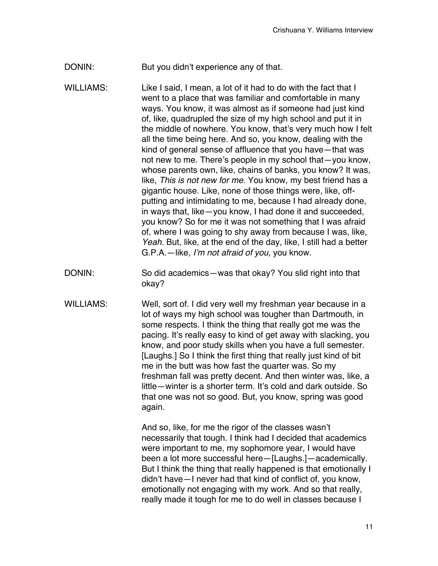- DONIN: But you didn't experience any of that.
- WILLIAMS: Like I said, I mean, a lot of it had to do with the fact that I went to a place that was familiar and comfortable in many ways. You know, it was almost as if someone had just kind of, like, quadrupled the size of my high school and put it in the middle of nowhere. You know, that's very much how I felt all the time being here. And so, you know, dealing with the kind of general sense of affluence that you have—that was not new to me. There's people in my school that—you know, whose parents own, like, chains of banks, you know? It was, like, *This is not new for me*. You know, my best friend has a gigantic house. Like, none of those things were, like, offputting and intimidating to me, because I had already done, in ways that, like—you know, I had done it and succeeded, you know? So for me it was not something that I was afraid of, where I was going to shy away from because I was, like, *Yeah.* But, like, at the end of the day, like, I still had a better G.P.A.—like, *I*'*m not afraid of you,* you know.
- DONIN: So did academics—was that okay? You slid right into that okay?
- WILLIAMS: Well, sort of. I did very well my freshman year because in a lot of ways my high school was tougher than Dartmouth, in some respects. I think the thing that really got me was the pacing. It's really easy to kind of get away with slacking, you know, and poor study skills when you have a full semester. [Laughs.] So I think the first thing that really just kind of bit me in the butt was how fast the quarter was. So my freshman fall was pretty decent. And then winter was, like, a little—winter is a shorter term. It's cold and dark outside. So that one was not so good. But, you know, spring was good again.

And so, like, for me the rigor of the classes wasn't necessarily that tough. I think had I decided that academics were important to me, my sophomore year, I would have been a lot more successful here—[Laughs.]—academically. But I think the thing that really happened is that emotionally I didn't have—I never had that kind of conflict of, you know, emotionally not engaging with my work. And so that really, really made it tough for me to do well in classes because I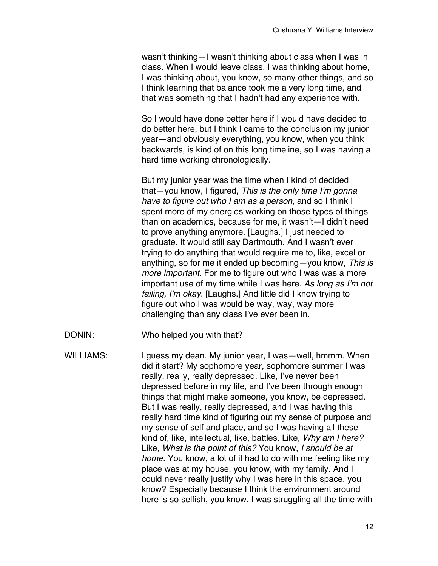wasn't thinking—I wasn't thinking about class when I was in class. When I would leave class, I was thinking about home, I was thinking about, you know, so many other things, and so I think learning that balance took me a very long time, and that was something that I hadn't had any experience with.

So I would have done better here if I would have decided to do better here, but I think I came to the conclusion my junior year—and obviously everything, you know, when you think backwards, is kind of on this long timeline, so I was having a hard time working chronologically.

But my junior year was the time when I kind of decided that—you know, I figured, *This is the only time I*'*m gonna have to figure out who I am as a person,* and so I think I spent more of my energies working on those types of things than on academics, because for me, it wasn't—I didn't need to prove anything anymore. [Laughs.] I just needed to graduate. It would still say Dartmouth. And I wasn't ever trying to do anything that would require me to, like, excel or anything, so for me it ended up becoming—you know, *This is more important.* For me to figure out who I was was a more important use of my time while I was here. *As long as I*'*m not failing, I*'*m okay*. [Laughs.] And little did I know trying to figure out who I was would be way, way, way more challenging than any class I've ever been in.

DONIN: Who helped you with that?

WILLIAMS: I guess my dean. My junior year, I was—well, hmmm. When did it start? My sophomore year, sophomore summer I was really, really, really depressed. Like, I've never been depressed before in my life, and I've been through enough things that might make someone, you know, be depressed. But I was really, really depressed, and I was having this really hard time kind of figuring out my sense of purpose and my sense of self and place, and so I was having all these kind of, like, intellectual, like, battles. Like, *Why am I here?* Like, *What is the point of this?* You know, *I should be at home*. You know, a lot of it had to do with me feeling like my place was at my house, you know, with my family. And I could never really justify why I was here in this space, you know? Especially because I think the environment around here is so selfish, you know. I was struggling all the time with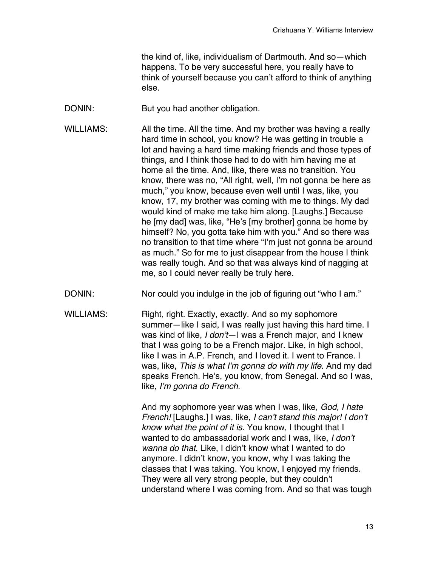the kind of, like, individualism of Dartmouth. And so—which happens. To be very successful here, you really have to think of yourself because you can't afford to think of anything else.

- DONIN: But you had another obligation.
- WILLIAMS: All the time. All the time. And my brother was having a really hard time in school, you know? He was getting in trouble a lot and having a hard time making friends and those types of things, and I think those had to do with him having me at home all the time. And, like, there was no transition. You know, there was no, "All right, well, I'm not gonna be here as much," you know, because even well until I was, like, you know, 17, my brother was coming with me to things. My dad would kind of make me take him along. [Laughs.] Because he [my dad] was, like, "He's [my brother] gonna be home by himself? No, you gotta take him with you." And so there was no transition to that time where "I'm just not gonna be around as much." So for me to just disappear from the house I think was really tough. And so that was always kind of nagging at me, so I could never really be truly here.
- DONIN: Nor could you indulge in the job of figuring out "who I am."
- WILLIAMS: Right, right. Exactly, exactly. And so my sophomore summer—like I said, I was really just having this hard time. I was kind of like, *I don*'*t*—I was a French major, and I knew that I was going to be a French major. Like, in high school, like I was in A.P. French, and I loved it. I went to France. I was, like, *This is what I*'*m gonna do with my life.* And my dad speaks French. He's, you know, from Senegal. And so I was, like, *I*'*m gonna do French*.

And my sophomore year was when I was, like, *God, I hate French!* [Laughs.] I was, like, *I can*'*t stand this major! I don*'*t know what the point of it is*. You know, I thought that I wanted to do ambassadorial work and I was, like, *I don*'*t wanna do that.* Like, I didn't know what I wanted to do anymore. I didn't know, you know, why I was taking the classes that I was taking. You know, I enjoyed my friends. They were all very strong people, but they couldn't understand where I was coming from. And so that was tough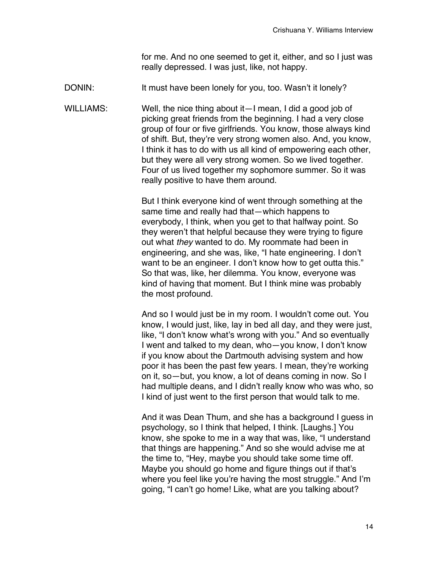for me. And no one seemed to get it, either, and so I just was really depressed. I was just, like, not happy.

DONIN: It must have been lonely for you, too. Wasn't it lonely?

WILLIAMS: Well, the nice thing about it—I mean, I did a good job of picking great friends from the beginning. I had a very close group of four or five girlfriends. You know, those always kind of shift. But, they're very strong women also. And, you know, I think it has to do with us all kind of empowering each other, but they were all very strong women. So we lived together. Four of us lived together my sophomore summer. So it was really positive to have them around.

> But I think everyone kind of went through something at the same time and really had that—which happens to everybody, I think, when you get to that halfway point. So they weren't that helpful because they were trying to figure out what *they* wanted to do. My roommate had been in engineering, and she was, like, "I hate engineering. I don't want to be an engineer. I don't know how to get outta this." So that was, like, her dilemma. You know, everyone was kind of having that moment. But I think mine was probably the most profound.

And so I would just be in my room. I wouldn't come out. You know, I would just, like, lay in bed all day, and they were just, like, "I don't know what's wrong with you." And so eventually I went and talked to my dean, who—you know, I don't know if you know about the Dartmouth advising system and how poor it has been the past few years. I mean, they're working on it, so—but, you know, a lot of deans coming in now. So I had multiple deans, and I didn't really know who was who, so I kind of just went to the first person that would talk to me.

And it was Dean Thum, and she has a background I guess in psychology, so I think that helped, I think. [Laughs.] You know, she spoke to me in a way that was, like, "I understand that things are happening." And so she would advise me at the time to, "Hey, maybe you should take some time off. Maybe you should go home and figure things out if that's where you feel like you're having the most struggle." And I'm going, "I can't go home! Like, what are you talking about?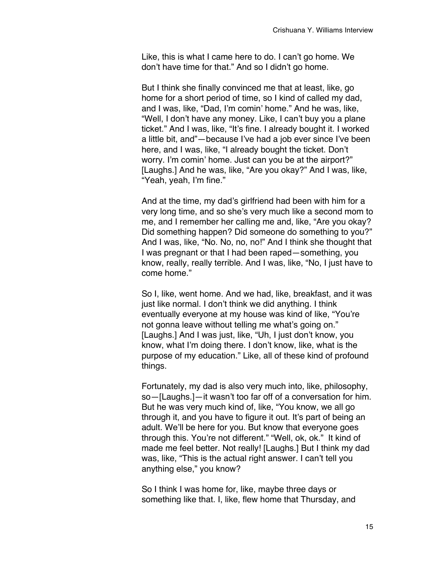Like, this is what I came here to do. I can't go home. We don't have time for that*.*" And so I didn't go home.

But I think she finally convinced me that at least, like, go home for a short period of time, so I kind of called my dad, and I was, like, "Dad, I'm comin' home." And he was, like, "Well, I don't have any money. Like, I can't buy you a plane ticket." And I was, like, "It's fine. I already bought it. I worked a little bit, and"—because I've had a job ever since I've been here, and I was, like, "I already bought the ticket. Don't worry. I'm comin' home. Just can you be at the airport?" [Laughs.] And he was, like, "Are you okay?" And I was, like, "Yeah, yeah, I'm fine."

And at the time, my dad's girlfriend had been with him for a very long time, and so she's very much like a second mom to me, and I remember her calling me and, like, "Are you okay? Did something happen? Did someone do something to you?" And I was, like, "No. No, no, no!" And I think she thought that I was pregnant or that I had been raped—something, you know, really, really terrible. And I was, like, "No, I just have to come home."

So I, like, went home. And we had, like, breakfast, and it was just like normal. I don't think we did anything. I think eventually everyone at my house was kind of like, "You're not gonna leave without telling me what's going on." [Laughs.] And I was just, like, "Uh, I just don't know, you know, what I'm doing there. I don't know, like, what is the purpose of my education." Like, all of these kind of profound things.

Fortunately, my dad is also very much into, like, philosophy, so—[Laughs.]—it wasn't too far off of a conversation for him. But he was very much kind of, like, "You know, we all go through it, and you have to figure it out. It's part of being an adult. We'll be here for you. But know that everyone goes through this. You're not different." "Well, ok, ok." It kind of made me feel better. Not really! [Laughs.] But I think my dad was, like, "This is the actual right answer. I can't tell you anything else," you know?

So I think I was home for, like, maybe three days or something like that. I, like, flew home that Thursday, and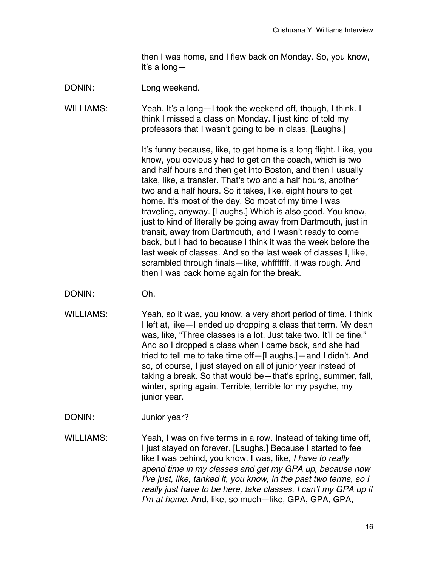then I was home, and I flew back on Monday. So, you know, it's a long—

DONIN: Long weekend.

WILLIAMS: Yeah. It's a long-I took the weekend off, though, I think. I think I missed a class on Monday. I just kind of told my professors that I wasn't going to be in class. [Laughs.]

> It's funny because, like, to get home is a long flight. Like, you know, you obviously had to get on the coach, which is two and half hours and then get into Boston, and then I usually take, like, a transfer. That's two and a half hours, another two and a half hours. So it takes, like, eight hours to get home. It's most of the day. So most of my time I was traveling, anyway. [Laughs.] Which is also good. You know, just to kind of literally be going away from Dartmouth, just in transit, away from Dartmouth, and I wasn't ready to come back, but I had to because I think it was the week before the last week of classes. And so the last week of classes I, like, scrambled through finals—like, whfffffff. It was rough. And then I was back home again for the break.

- DONIN: Oh.
- WILLIAMS: Yeah, so it was, you know, a very short period of time. I think I left at, like—I ended up dropping a class that term. My dean was, like, "Three classes is a lot. Just take two. It'll be fine." And so I dropped a class when I came back, and she had tried to tell me to take time off—[Laughs.]—and I didn't. And so, of course, I just stayed on all of junior year instead of taking a break. So that would be—that's spring, summer, fall, winter, spring again. Terrible, terrible for my psyche, my junior year.

DONIN: Junior year?

WILLIAMS: Yeah, I was on five terms in a row. Instead of taking time off, I just stayed on forever. [Laughs.] Because I started to feel like I was behind, you know. I was, like, *I have to really spend time in my classes and get my GPA up, because now I*'*ve just, like, tanked it, you know, in the past two terms, so I really just have to be here, take classes. I can*'*t my GPA up if I*'*m at home*. And, like, so much—like, GPA, GPA, GPA,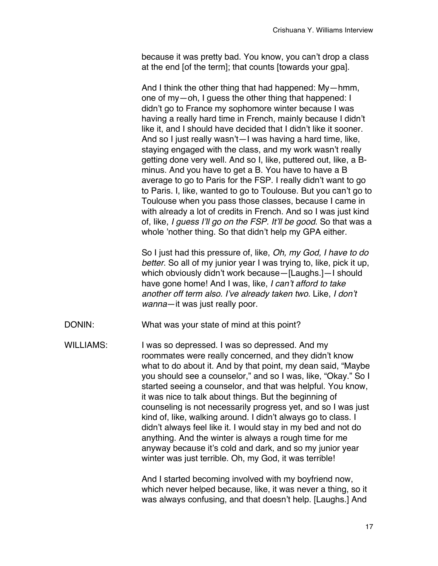because it was pretty bad. You know, you can't drop a class at the end [of the term]; that counts [towards your gpa].

And I think the other thing that had happened: My—hmm, one of my—oh, I guess the other thing that happened: I didn't go to France my sophomore winter because I was having a really hard time in French, mainly because I didn't like it, and I should have decided that I didn't like it sooner. And so I just really wasn't—I was having a hard time, like, staying engaged with the class, and my work wasn't really getting done very well. And so I, like, puttered out, like, a Bminus. And you have to get a B. You have to have a B average to go to Paris for the FSP. I really didn't want to go to Paris. I, like, wanted to go to Toulouse. But you can't go to Toulouse when you pass those classes, because I came in with already a lot of credits in French. And so I was just kind of, like, *I guess I*'*ll go on the FSP. It*'*ll be good*. So that was a whole 'nother thing. So that didn't help my GPA either.

So I just had this pressure of, like, *Oh, my God, I have to do better*. So all of my junior year I was trying to, like, pick it up, which obviously didn't work because—[Laughs.]—I should have gone home! And I was, like, *I can*'*t afford to take another off term also. I*'*ve already taken two.* Like, *I don*'*t wanna*—it was just really poor.

- DONIN: What was your state of mind at this point?
- WILLIAMS: I was so depressed. I was so depressed. And my roommates were really concerned, and they didn't know what to do about it. And by that point, my dean said, "Maybe you should see a counselor," and so I was, like, "Okay." So I started seeing a counselor, and that was helpful. You know, it was nice to talk about things. But the beginning of counseling is not necessarily progress yet, and so I was just kind of, like, walking around. I didn't always go to class. I didn't always feel like it. I would stay in my bed and not do anything. And the winter is always a rough time for me anyway because it's cold and dark, and so my junior year winter was just terrible. Oh, my God, it was terrible!

And I started becoming involved with my boyfriend now, which never helped because, like, it was never a thing, so it was always confusing, and that doesn't help. [Laughs.] And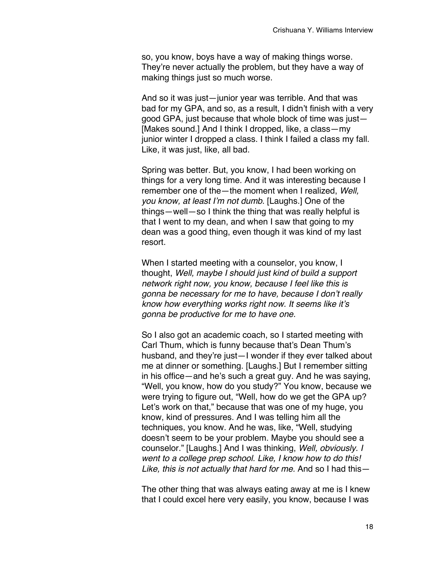so, you know, boys have a way of making things worse. They're never actually the problem, but they have a way of making things just so much worse.

And so it was just—junior year was terrible. And that was bad for my GPA, and so, as a result, I didn't finish with a very good GPA, just because that whole block of time was just— [Makes sound.] And I think I dropped, like, a class—my junior winter I dropped a class. I think I failed a class my fall. Like, it was just, like, all bad.

Spring was better. But, you know, I had been working on things for a very long time. And it was interesting because I remember one of the—the moment when I realized, *Well, you know, at least I*'*m not dumb*. [Laughs.] One of the things—well—so I think the thing that was really helpful is that I went to my dean, and when I saw that going to my dean was a good thing, even though it was kind of my last resort.

When I started meeting with a counselor, you know, I thought, *Well, maybe I should just kind of build a support network right now, you know, because I feel like this is gonna be necessary for me to have, because I don*'*t really know how everything works right now. It seems like it*'*s gonna be productive for me to have one.*

So I also got an academic coach, so I started meeting with Carl Thum, which is funny because that's Dean Thum's husband, and they're just—I wonder if they ever talked about me at dinner or something. [Laughs.] But I remember sitting in his office—and he's such a great guy. And he was saying, "Well, you know, how do you study?" You know, because we were trying to figure out, "Well, how do we get the GPA up? Let's work on that," because that was one of my huge, you know, kind of pressures. And I was telling him all the techniques, you know. And he was, like, "Well, studying doesn't seem to be your problem. Maybe you should see a counselor." [Laughs.] And I was thinking, *Well, obviously. I went to a college prep school. Like, I know how to do this! Like, this is not actually that hard for me.* And so I had this—

The other thing that was always eating away at me is I knew that I could excel here very easily, you know, because I was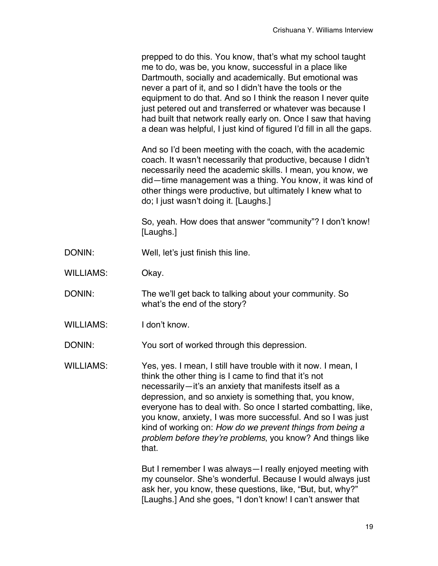|                  | prepped to do this. You know, that's what my school taught<br>me to do, was be, you know, successful in a place like<br>Dartmouth, socially and academically. But emotional was<br>never a part of it, and so I didn't have the tools or the<br>equipment to do that. And so I think the reason I never quite<br>just petered out and transferred or whatever was because I<br>had built that network really early on. Once I saw that having<br>a dean was helpful, I just kind of figured I'd fill in all the gaps. |
|------------------|-----------------------------------------------------------------------------------------------------------------------------------------------------------------------------------------------------------------------------------------------------------------------------------------------------------------------------------------------------------------------------------------------------------------------------------------------------------------------------------------------------------------------|
|                  | And so I'd been meeting with the coach, with the academic<br>coach. It wasn't necessarily that productive, because I didn't<br>necessarily need the academic skills. I mean, you know, we<br>did-time management was a thing. You know, it was kind of<br>other things were productive, but ultimately I knew what to<br>do; I just wasn't doing it. [Laughs.]                                                                                                                                                        |
|                  | So, yeah. How does that answer "community"? I don't know!<br>[Laughs.]                                                                                                                                                                                                                                                                                                                                                                                                                                                |
| DONIN:           | Well, let's just finish this line.                                                                                                                                                                                                                                                                                                                                                                                                                                                                                    |
| <b>WILLIAMS:</b> | Okay.                                                                                                                                                                                                                                                                                                                                                                                                                                                                                                                 |
| DONIN:           | The we'll get back to talking about your community. So<br>what's the end of the story?                                                                                                                                                                                                                                                                                                                                                                                                                                |
| <b>WILLIAMS:</b> | I don't know.                                                                                                                                                                                                                                                                                                                                                                                                                                                                                                         |
| DONIN:           | You sort of worked through this depression.                                                                                                                                                                                                                                                                                                                                                                                                                                                                           |
| <b>WILLIAMS:</b> | Yes, yes. I mean, I still have trouble with it now. I mean, I<br>think the other thing is I came to find that it's not<br>necessarily-it's an anxiety that manifests itself as a<br>depression, and so anxiety is something that, you know,<br>everyone has to deal with. So once I started combatting, like,<br>you know, anxiety, I was more successful. And so I was just<br>kind of working on: How do we prevent things from being a<br>problem before they're problems, you know? And things like<br>that.      |
|                  | But I remember I was always - I really enjoyed meeting with<br>my counselor. She's wonderful. Because I would always just<br>ask her, you know, these questions, like, "But, but, why?"<br>[Laughs.] And she goes, "I don't know! I can't answer that                                                                                                                                                                                                                                                                 |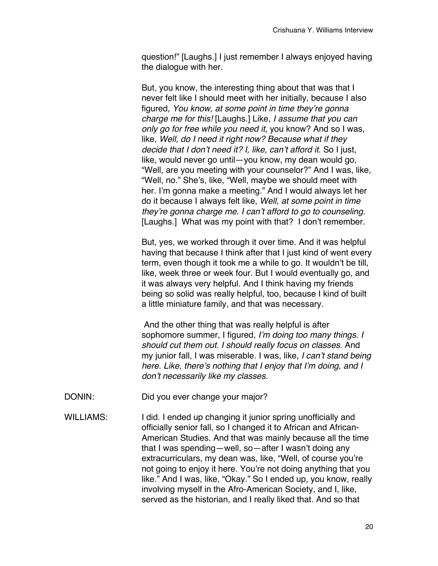question!" [Laughs.] I just remember I always enjoyed having the dialogue with her.

But, you know, the interesting thing about that was that I never felt like I should meet with her initially, because I also figured, *You know, at some point in time they*'*re gonna charge me for this!* [Laughs.] Like, *I assume that you can only go for free while you need it*, you know? And so I was, like, *Well, do I need it right now? Because what if they decide that I don*'*t need it? I, like, can*'*t afford it.* So I just, like, would never go until—you know, my dean would go, "Well, are you meeting with your counselor?" And I was, like, "Well, no." She's, like, "Well, maybe we should meet with her. I'm gonna make a meeting." And I would always let her do it because I always felt like, *Well, at some point in time they*'*re gonna charge me. I can*'*t afford to go to counseling.* [Laughs.] What was my point with that? I don't remember.

But, yes, we worked through it over time. And it was helpful having that because I think after that I just kind of went every term, even though it took me a while to go. It wouldn't be till, like, week three or week four. But I would eventually go, and it was always very helpful. And I think having my friends being so solid was really helpful, too, because I kind of built a little miniature family, and that was necessary.

And the other thing that was really helpful is after sophomore summer, I figured*, I*'*m doing too many things. I should cut them out. I should really focus on classes*. And my junior fall, I was miserable. I was, like, *I can*'*t stand being here. Like, there*'*s nothing that I enjoy that I*'*m doing, and I don*'*t necessarily like my classes*.

- DONIN: Did you ever change your major?
- WILLIAMS: I did. I ended up changing it junior spring unofficially and officially senior fall, so I changed it to African and African-American Studies. And that was mainly because all the time that I was spending—well, so—after I wasn't doing any extracurriculars, my dean was, like, "Well, of course you're not going to enjoy it here. You're not doing anything that you like." And I was, like, "Okay." So I ended up, you know, really involving myself in the Afro-American Society, and I, like, served as the historian, and I really liked that. And so that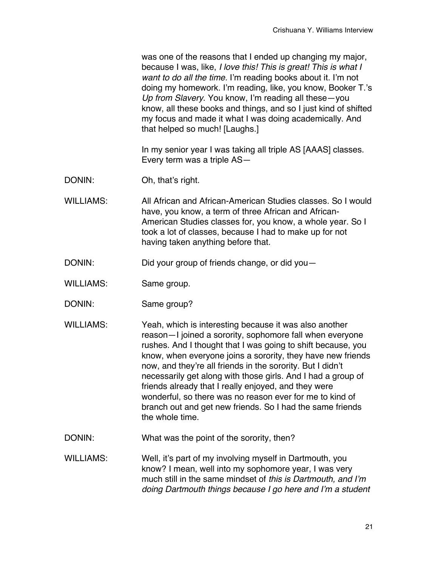was one of the reasons that I ended up changing my major, because I was, like, *I love this! This is great! This is what I want to do all the time.* I'm reading books about it. I'm not doing my homework. I'm reading, like, you know, Booker T.'s *Up from Slavery*. You know, I'm reading all these—you know, all these books and things, and so I just kind of shifted my focus and made it what I was doing academically. And that helped so much! [Laughs.]

In my senior year I was taking all triple AS [AAAS] classes. Every term was a triple AS—

- DONIN: Oh, that's right.
- WILLIAMS: All African and African-American Studies classes. So I would have, you know, a term of three African and African-American Studies classes for, you know, a whole year. So I took a lot of classes, because I had to make up for not having taken anything before that.
- DONIN: Did your group of friends change, or did you-
- WILLIAMS: Same group.
- DONIN: Same group?
- WILLIAMS: Yeah, which is interesting because it was also another reason—I joined a sorority, sophomore fall when everyone rushes. And I thought that I was going to shift because, you know, when everyone joins a sorority, they have new friends now, and they're all friends in the sorority. But I didn't necessarily get along with those girls. And I had a group of friends already that I really enjoyed, and they were wonderful, so there was no reason ever for me to kind of branch out and get new friends. So I had the same friends the whole time.
- DONIN: What was the point of the sorority, then?
- WILLIAMS: Well, it's part of my involving myself in Dartmouth, you know? I mean, well into my sophomore year, I was very much still in the same mindset of *this is Dartmouth, and I*'*m doing Dartmouth things because I go here and I*'*m a student*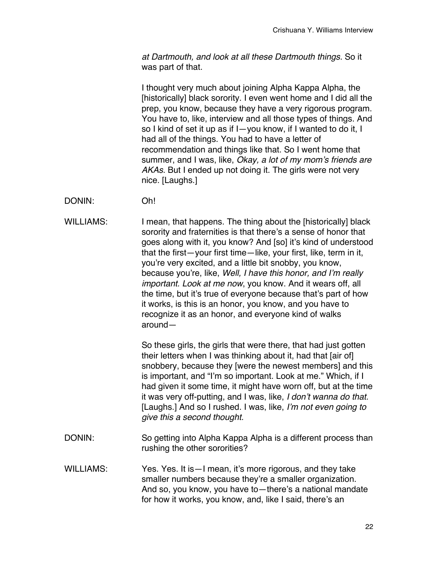*at Dartmouth, and look at all these Dartmouth things.* So it was part of that.

I thought very much about joining Alpha Kappa Alpha, the [historically] black sorority. I even went home and I did all the prep, you know, because they have a very rigorous program. You have to, like, interview and all those types of things. And so I kind of set it up as if I—you know, if I wanted to do it, I had all of the things. You had to have a letter of recommendation and things like that. So I went home that summer, and I was, like, *Okay, a lot of my mom*'*s friends are AKAs*. But I ended up not doing it. The girls were not very nice. [Laughs.]

DONIN: Oh!

WILLIAMS: I mean, that happens. The thing about the [historically] black sorority and fraternities is that there's a sense of honor that goes along with it, you know? And [so] it's kind of understood that the first—your first time—like, your first, like, term in it, you're very excited, and a little bit snobby, you know, because you're, like, *Well, I have this honor, and I*'*m really important. Look at me now*, you know. And it wears off, all the time, but it's true of everyone because that's part of how it works, is this is an honor, you know, and you have to recognize it as an honor, and everyone kind of walks around—

> So these girls, the girls that were there, that had just gotten their letters when I was thinking about it, had that [air of] snobbery, because they [were the newest members] and this is important, and "I'm so important. Look at me." Which, if I had given it some time, it might have worn off, but at the time it was very off-putting, and I was, like, *I don*'*t wanna do that.* [Laughs.] And so I rushed. I was, like, *I*'*m not even going to give this a second thought.*

- DONIN: So getting into Alpha Kappa Alpha is a different process than rushing the other sororities?
- WILLIAMS: Yes. Yes. It is I mean, it's more rigorous, and they take smaller numbers because they're a smaller organization. And so, you know, you have to—there's a national mandate for how it works, you know, and, like I said, there's an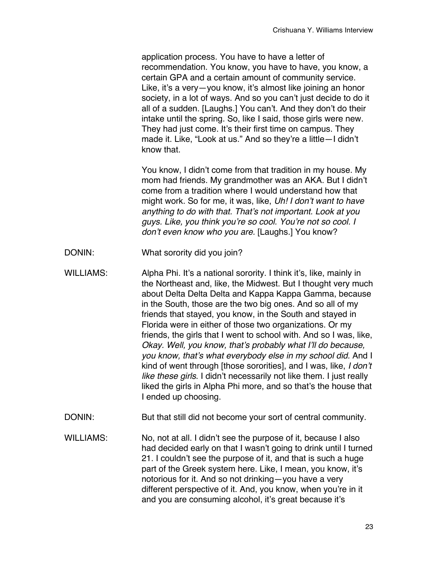application process. You have to have a letter of recommendation. You know, you have to have, you know, a certain GPA and a certain amount of community service. Like, it's a very—you know, it's almost like joining an honor society, in a lot of ways. And so you can't just decide to do it all of a sudden. [Laughs.] You can't. And they don't do their intake until the spring. So, like I said, those girls were new. They had just come. It's their first time on campus. They made it. Like, "Look at us." And so they're a little—I didn't know that.

You know, I didn't come from that tradition in my house. My mom had friends. My grandmother was an AKA. But I didn't come from a tradition where I would understand how that might work. So for me, it was, like, *Uh! I don*'*t want to have anything to do with that. That*'*s not important. Look at you guys. Like, you think you*'*re so cool. You*'*re not so cool. I don*'*t even know who you are.* [Laughs.] You know?

- DONIN: What sorority did you join?
- WILLIAMS: Alpha Phi. It's a national sorority. I think it's, like, mainly in the Northeast and, like, the Midwest. But I thought very much about Delta Delta Delta and Kappa Kappa Gamma, because in the South, those are the two big ones. And so all of my friends that stayed, you know, in the South and stayed in Florida were in either of those two organizations. Or my friends, the girls that I went to school with. And so I was, like, *Okay. Well, you know, that*'*s probably what I*'*ll do because, you know, that*'*s what everybody else in my school did.* And I kind of went through [those sororities], and I was, like, *I don*'*t like these girls*. I didn't necessarily not like them. I just really liked the girls in Alpha Phi more, and so that's the house that I ended up choosing.
- DONIN: But that still did not become your sort of central community.
- WILLIAMS: No, not at all. I didn't see the purpose of it, because I also had decided early on that I wasn't going to drink until I turned 21. I couldn't see the purpose of it, and that is such a huge part of the Greek system here. Like, I mean, you know, it's notorious for it. And so not drinking—you have a very different perspective of it. And, you know, when you're in it and you are consuming alcohol, it's great because it's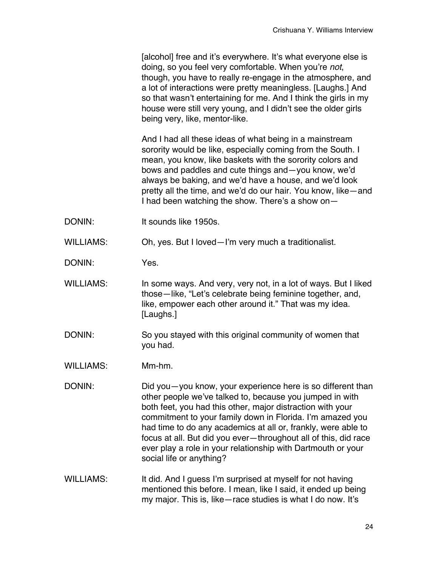[alcohol] free and it's everywhere. It's what everyone else is doing, so you feel very comfortable. When you're *not*, though, you have to really re-engage in the atmosphere, and a lot of interactions were pretty meaningless. [Laughs.] And so that wasn't entertaining for me. And I think the girls in my house were still very young, and I didn't see the older girls being very, like, mentor-like.

And I had all these ideas of what being in a mainstream sorority would be like, especially coming from the South. I mean, you know, like baskets with the sorority colors and bows and paddles and cute things and—you know, we'd always be baking, and we'd have a house, and we'd look pretty all the time, and we'd do our hair. You know, like—and I had been watching the show. There's a show on—

DONIN: It sounds like 1950s.

WILLIAMS: Oh, yes. But I loved—I'm very much a traditionalist.

DONIN: Yes.

- WILLIAMS: In some ways. And very, very not, in a lot of ways. But I liked those—like, "Let's celebrate being feminine together, and, like, empower each other around it." That was my idea. [Laughs.]
- DONIN: So you stayed with this original community of women that you had.
- WILLIAMS: Mm-hm.
- DONIN: DONIN: Did you—you know, your experience here is so different than other people we've talked to, because you jumped in with both feet, you had this other, major distraction with your commitment to your family down in Florida. I'm amazed you had time to do any academics at all or, frankly, were able to focus at all. But did you ever—throughout all of this, did race ever play a role in your relationship with Dartmouth or your social life or anything?
- WILLIAMS: It did. And I guess I'm surprised at myself for not having mentioned this before. I mean, like I said, it ended up being my major. This is, like—race studies is what I do now. It's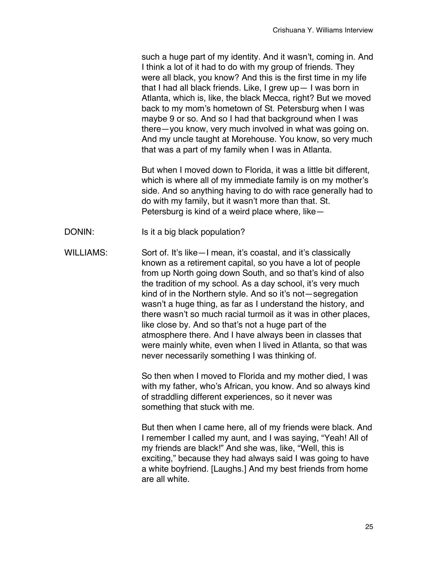such a huge part of my identity. And it wasn't, coming in. And I think a lot of it had to do with my group of friends. They were all black, you know? And this is the first time in my life that I had all black friends. Like, I grew up— I was born in Atlanta, which is, like, the black Mecca, right? But we moved back to my mom's hometown of St. Petersburg when I was maybe 9 or so. And so I had that background when I was there—you know, very much involved in what was going on. And my uncle taught at Morehouse. You know, so very much that was a part of my family when I was in Atlanta.

But when I moved down to Florida, it was a little bit different, which is where all of my immediate family is on my mother's side. And so anything having to do with race generally had to do with my family, but it wasn't more than that. St. Petersburg is kind of a weird place where, like—

- DONIN: Is it a big black population?
- WILLIAMS: Sort of. It's like—I mean, it's coastal, and it's classically known as a retirement capital, so you have a lot of people from up North going down South, and so that's kind of also the tradition of my school. As a day school, it's very much kind of in the Northern style. And so it's not—segregation wasn't a huge thing, as far as I understand the history, and there wasn't so much racial turmoil as it was in other places, like close by. And so that's not a huge part of the atmosphere there. And I have always been in classes that were mainly white, even when I lived in Atlanta, so that was never necessarily something I was thinking of.

So then when I moved to Florida and my mother died, I was with my father, who's African, you know. And so always kind of straddling different experiences, so it never was something that stuck with me.

But then when I came here, all of my friends were black. And I remember I called my aunt, and I was saying, "Yeah! All of my friends are black!" And she was, like, "Well, this is exciting," because they had always said I was going to have a white boyfriend. [Laughs.] And my best friends from home are all white.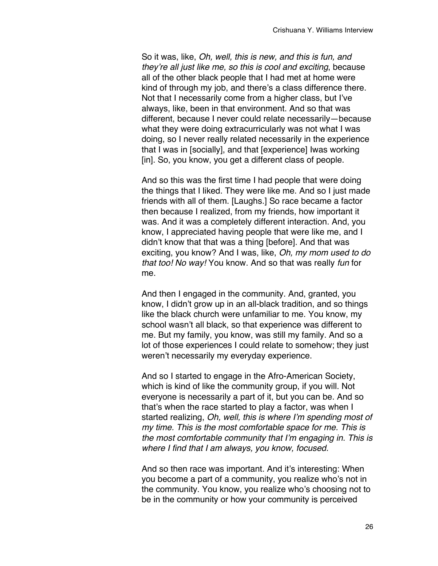So it was, like, *Oh, well, this is new, and this is fun, and they*'*re all just like me, so this is cool and exciting*, because all of the other black people that I had met at home were kind of through my job, and there's a class difference there. Not that I necessarily come from a higher class, but I've always, like, been in that environment. And so that was different, because I never could relate necessarily—because what they were doing extracurricularly was not what I was doing, so I never really related necessarily in the experience that I was in [socially], and that [experience] Iwas working [in]. So, you know, you get a different class of people.

And so this was the first time I had people that were doing the things that I liked. They were like me. And so I just made friends with all of them. [Laughs.] So race became a factor then because I realized, from my friends, how important it was. And it was a completely different interaction. And, you know, I appreciated having people that were like me, and I didn't know that that was a thing [before]. And that was exciting, you know? And I was, like, *Oh, my mom used to do that too! No way!* You know. And so that was really *fun* for me.

And then I engaged in the community. And, granted, you know, I didn't grow up in an all-black tradition, and so things like the black church were unfamiliar to me. You know, my school wasn't all black, so that experience was different to me. But my family, you know, was still my family. And so a lot of those experiences I could relate to somehow; they just weren't necessarily my everyday experience.

And so I started to engage in the Afro-American Society, which is kind of like the community group, if you will. Not everyone is necessarily a part of it, but you can be. And so that's when the race started to play a factor, was when I started realizing, *Oh, well, this is where I*'*m spending most of my time. This is the most comfortable space for me. This is the most comfortable community that I*'*m engaging in. This is where I find that I am always, you know, focused.*

And so then race was important. And it's interesting: When you become a part of a community, you realize who's not in the community. You know, you realize who's choosing not to be in the community or how your community is perceived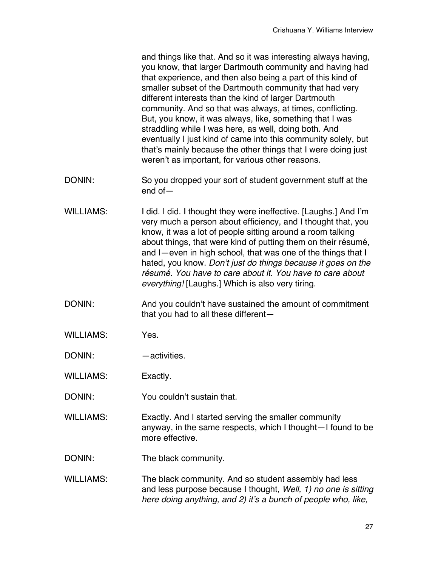and things like that. And so it was interesting always having, you know, that larger Dartmouth community and having had that experience, and then also being a part of this kind of smaller subset of the Dartmouth community that had very different interests than the kind of larger Dartmouth community. And so that was always, at times, conflicting. But, you know, it was always, like, something that I was straddling while I was here, as well, doing both. And eventually I just kind of came into this community solely, but that's mainly because the other things that I were doing just weren't as important, for various other reasons.

- DONIN: So you dropped your sort of student government stuff at the end of—
- WILLIAMS: I did. I did. I thought they were ineffective. [Laughs.] And I'm very much a person about efficiency, and I thought that, you know, it was a lot of people sitting around a room talking about things, that were kind of putting them on their résumé, and I—even in high school, that was one of the things that I hated, you know. *Don*'*t just do things because it goes on the résumé. You have to care about it. You have to care about everything!* [Laughs.] Which is also very tiring.
- DONIN: And you couldn't have sustained the amount of commitment that you had to all these different—
- WILLIAMS: Yes.

DONIN: — — activities.

WILLIAMS: Exactly.

DONIN: You couldn't sustain that.

- WILLIAMS: Exactly. And I started serving the smaller community anyway, in the same respects, which I thought—I found to be more effective.
- DONIN: The black community.
- WILLIAMS: The black community. And so student assembly had less and less purpose because I thought, *Well, 1) no one is sitting here doing anything, and 2) it*'*s a bunch of people who, like,*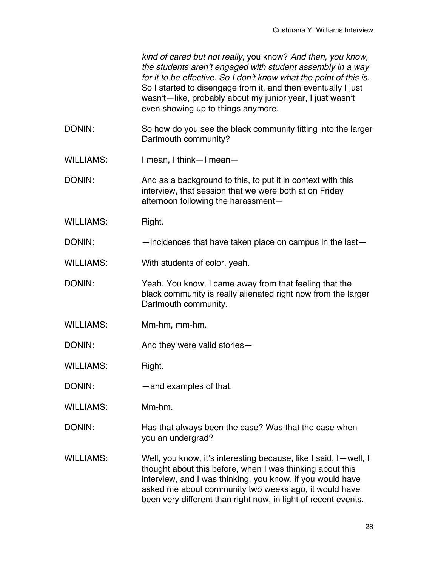*kind of cared but not really*, you know? *And then, you know, the students aren*'*t engaged with student assembly in a way for it to be effective. So I don*'*t know what the point of this is*. So I started to disengage from it, and then eventually I just wasn't—like, probably about my junior year, I just wasn't even showing up to things anymore.

- DONIN: So how do you see the black community fitting into the larger Dartmouth community?
- WILLIAMS: I mean, I think—I mean—

DONIN: And as a background to this, to put it in context with this interview, that session that we were both at on Friday afternoon following the harassment—

- WILLIAMS: Right.
- DONIN: incidences that have taken place on campus in the last

WILLIAMS: With students of color, yeah.

- DONIN: Yeah. You know, I came away from that feeling that the black community is really alienated right now from the larger Dartmouth community.
- WILLIAMS: Mm-hm, mm-hm.
- DONIN: And they were valid stories—

WILLIAMS: Right.

- DONIN: — and examples of that.
- WILLIAMS: Mm-hm.
- DONIN: Has that always been the case? Was that the case when you an undergrad?
- WILLIAMS: Well, you know, it's interesting because, like I said, I—well, I thought about this before, when I was thinking about this interview, and I was thinking, you know, if you would have asked me about community two weeks ago, it would have been very different than right now, in light of recent events.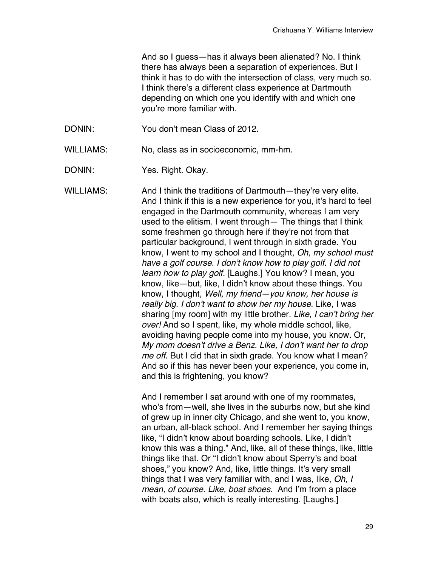And so I guess—has it always been alienated? No. I think there has always been a separation of experiences. But I think it has to do with the intersection of class, very much so. I think there's a different class experience at Dartmouth depending on which one you identify with and which one you're more familiar with.

DONIN: You don't mean Class of 2012.

WILLIAMS: No, class as in socioeconomic, mm-hm.

DONIN: Yes. Right. Okay.

WILLIAMS: And I think the traditions of Dartmouth—they're very elite. And I think if this is a new experience for you, it's hard to feel engaged in the Dartmouth community, whereas I am very used to the elitism. I went through— The things that I think some freshmen go through here if they're not from that particular background, I went through in sixth grade. You know, I went to my school and I thought, *Oh, my school must have a golf course. I don*'*t know how to play golf. I did not learn how to play golf.* [Laughs.] You know? I mean, you know, like—but, like, I didn't know about these things. You know, I thought, *Well, my friend—you know, her house is really big. I don*'*t want to show her my house*. Like, I was sharing [my room] with my little brother. *Like, I can*'*t bring her over!* And so I spent, like, my whole middle school, like, avoiding having people come into my house, you know. Or, *My mom doesn*'*t drive a Benz. Like, I don*'*t want her to drop me off*. But I did that in sixth grade. You know what I mean? And so if this has never been your experience, you come in, and this is frightening, you know?

> And I remember I sat around with one of my roommates, who's from—well, she lives in the suburbs now, but she kind of grew up in inner city Chicago, and she went to, you know, an urban, all-black school. And I remember her saying things like, "I didn't know about boarding schools. Like, I didn't know this was a thing." And, like, all of these things, like, little things like that. Or "I didn't know about Sperry's and boat shoes," you know? And, like, little things. It's very small things that I was very familiar with, and I was, like, *Oh, I mean, of course. Like, boat shoes.* And I'm from a place with boats also, which is really interesting. [Laughs.]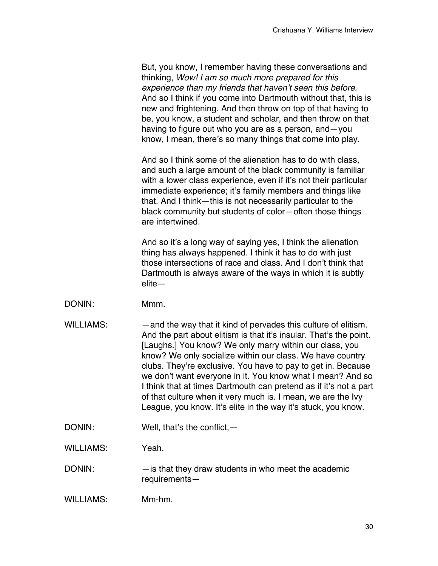| But, you know, I remember having these conversations and        |
|-----------------------------------------------------------------|
| thinking, Wow! I am so much more prepared for this              |
| experience than my friends that haven't seen this before.       |
| And so I think if you come into Dartmouth without that, this is |
| new and frightening. And then throw on top of that having to    |
| be, you know, a student and scholar, and then throw on that     |
| having to figure out who you are as a person, and - you         |
| know, I mean, there's so many things that come into play.       |

And so I think some of the alienation has to do with class, and such a large amount of the black community is familiar with a lower class experience, even if it's not their particular immediate experience; it's family members and things like that. And I think—this is not necessarily particular to the black community but students of color—often those things are intertwined.

And so it's a long way of saying yes, I think the alienation thing has always happened. I think it has to do with just those intersections of race and class. And I don't think that Dartmouth is always aware of the ways in which it is subtly elite—

- DONIN: Mmm.
- WILLIAMS: — and the way that it kind of pervades this culture of elitism. And the part about elitism is that it's insular. That's the point. [Laughs.] You know? We only marry within our class, you know? We only socialize within our class. We have country clubs. They're exclusive. You have to pay to get in. Because we don't want everyone in it. You know what I mean? And so I think that at times Dartmouth can pretend as if it's not a part of that culture when it very much is. I mean, we are the Ivy League, you know. It's elite in the way it's stuck, you know.
- DONIN: Well, that's the conflict, —

WILLIAMS: Yeah.

- DONIN: —is that they draw students in who meet the academic requirements—
- WILLIAMS: Mm-hm.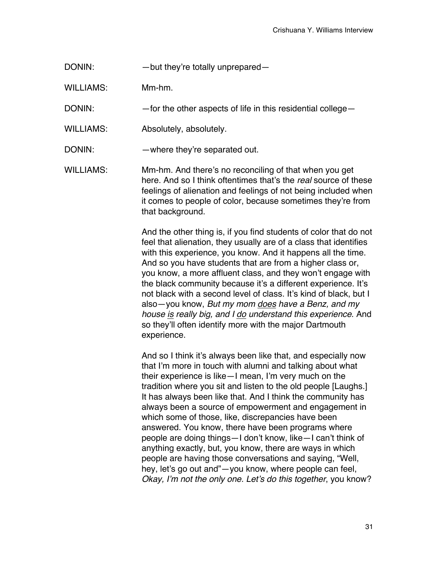- DONIN: but they're totally unprepared—
- WILLIAMS: Mm-hm.
- DONIN: — for the other aspects of life in this residential college—
- WILLIAMS: Absolutely, absolutely.
- DONIN: where they're separated out.
- WILLIAMS: Mm-hm. And there's no reconciling of that when you get here. And so I think oftentimes that's the *real* source of these feelings of alienation and feelings of not being included when it comes to people of color, because sometimes they're from that background.

And the other thing is, if you find students of color that do not feel that alienation, they usually are of a class that identifies with this experience, you know. And it happens all the time. And so you have students that are from a higher class or, you know, a more affluent class, and they won't engage with the black community because it's a different experience. It's not black with a second level of class. It's kind of black, but I also—you know, *But my mom does have a Benz, and my house is really big, and I do understand this experience*. And so they'll often identify more with the major Dartmouth experience.

And so I think it's always been like that, and especially now that I'm more in touch with alumni and talking about what their experience is like—I mean, I'm very much on the tradition where you sit and listen to the old people [Laughs.] It has always been like that. And I think the community has always been a source of empowerment and engagement in which some of those, like, discrepancies have been answered. You know, there have been programs where people are doing things—I don't know, like—I can't think of anything exactly, but, you know, there are ways in which people are having those conversations and saying, "Well, hey, let's go out and"—you know, where people can feel, *Okay, I*'*m not the only one. Let*'*s do this together*, you know?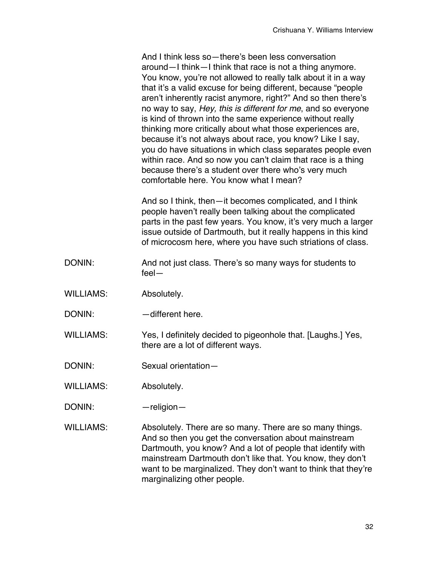And I think less so—there's been less conversation around—I think—I think that race is not a thing anymore. You know, you're not allowed to really talk about it in a way that it's a valid excuse for being different, because "people aren't inherently racist anymore, right?" And so then there's no way to say, *Hey, this is different for me*, and so everyone is kind of thrown into the same experience without really thinking more critically about what those experiences are, because it's not always about race, you know? Like I say, you do have situations in which class separates people even within race. And so now you can't claim that race is a thing because there's a student over there who's very much comfortable here. You know what I mean?

And so I think, then—it becomes complicated, and I think people haven't really been talking about the complicated parts in the past few years. You know, it's very much a larger issue outside of Dartmouth, but it really happens in this kind of microcosm here, where you have such striations of class.

- DONIN: And not just class. There's so many ways for students to feel—
- WILLIAMS: Absolutely.
- DONIN: — different here.

WILLIAMS: Yes, I definitely decided to pigeonhole that. [Laughs.] Yes, there are a lot of different ways.

DONIN: Sexual orientation—

WILLIAMS: Absolutely.

DONIN: — — — — religion—

WILLIAMS: Absolutely. There are so many. There are so many things. And so then you get the conversation about mainstream Dartmouth, you know? And a lot of people that identify with mainstream Dartmouth don't like that. You know, they don't want to be marginalized. They don't want to think that they're marginalizing other people.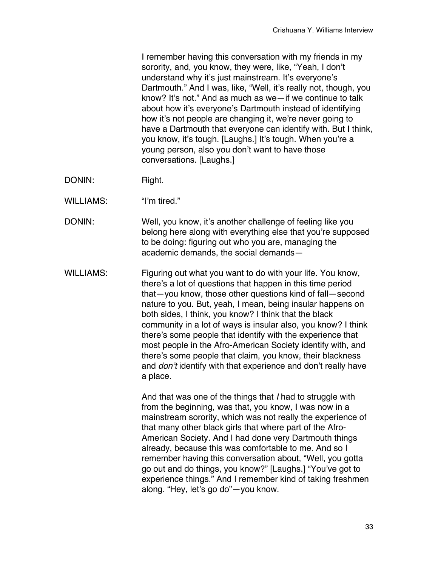I remember having this conversation with my friends in my sorority, and, you know, they were, like, "Yeah, I don't understand why it's just mainstream. It's everyone's Dartmouth." And I was, like, "Well, it's really not, though, you know? It's not." And as much as we—if we continue to talk about how it's everyone's Dartmouth instead of identifying how it's not people are changing it, we're never going to have a Dartmouth that everyone can identify with. But I think, you know, it's tough. [Laughs.] It's tough. When you're a young person, also you don't want to have those conversations. [Laughs.]

- DONIN: Right.
- WILLIAMS: "I'm tired."
- DONIN: Well, you know, it's another challenge of feeling like you belong here along with everything else that you're supposed to be doing: figuring out who you are, managing the academic demands, the social demands—
- WILLIAMS: Figuring out what you want to do with your life. You know, there's a lot of questions that happen in this time period that—you know, those other questions kind of fall—second nature to you. But, yeah, I mean, being insular happens on both sides, I think, you know? I think that the black community in a lot of ways is insular also, you know? I think there's some people that identify with the experience that most people in the Afro-American Society identify with, and there's some people that claim, you know, their blackness and *don*'*t* identify with that experience and don't really have a place.

And that was one of the things that *I* had to struggle with from the beginning, was that, you know, I was now in a mainstream sorority, which was not really the experience of that many other black girls that where part of the Afro-American Society. And I had done very Dartmouth things already, because this was comfortable to me. And so I remember having this conversation about, "Well, you gotta go out and do things, you know?" [Laughs.] "You've got to experience things." And I remember kind of taking freshmen along. "Hey, let's go do"—you know.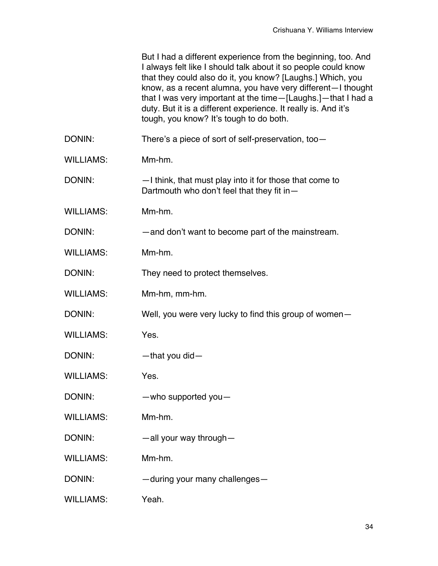|                  | But I had a different experience from the beginning, too. And<br>I always felt like I should talk about it so people could know<br>that they could also do it, you know? [Laughs.] Which, you<br>know, as a recent alumna, you have very different-I thought<br>that I was very important at the time-[Laughs.]-that I had a<br>duty. But it is a different experience. It really is. And it's<br>tough, you know? It's tough to do both. |
|------------------|-------------------------------------------------------------------------------------------------------------------------------------------------------------------------------------------------------------------------------------------------------------------------------------------------------------------------------------------------------------------------------------------------------------------------------------------|
| DONIN:           | There's a piece of sort of self-preservation, too-                                                                                                                                                                                                                                                                                                                                                                                        |
| <b>WILLIAMS:</b> | Mm-hm.                                                                                                                                                                                                                                                                                                                                                                                                                                    |
| DONIN:           | -I think, that must play into it for those that come to<br>Dartmouth who don't feel that they fit in-                                                                                                                                                                                                                                                                                                                                     |
| <b>WILLIAMS:</b> | Mm-hm.                                                                                                                                                                                                                                                                                                                                                                                                                                    |
| DONIN:           | -and don't want to become part of the mainstream.                                                                                                                                                                                                                                                                                                                                                                                         |
| <b>WILLIAMS:</b> | Mm-hm.                                                                                                                                                                                                                                                                                                                                                                                                                                    |
| DONIN:           | They need to protect themselves.                                                                                                                                                                                                                                                                                                                                                                                                          |
| <b>WILLIAMS:</b> | Mm-hm, mm-hm.                                                                                                                                                                                                                                                                                                                                                                                                                             |
| DONIN:           | Well, you were very lucky to find this group of women-                                                                                                                                                                                                                                                                                                                                                                                    |
| <b>WILLIAMS:</b> | Yes.                                                                                                                                                                                                                                                                                                                                                                                                                                      |
| DONIN:           | -that you did-                                                                                                                                                                                                                                                                                                                                                                                                                            |
| <b>WILLIAMS:</b> | Yes.                                                                                                                                                                                                                                                                                                                                                                                                                                      |
| DONIN:           | $-$ who supported you $-$                                                                                                                                                                                                                                                                                                                                                                                                                 |
| <b>WILLIAMS:</b> | Mm-hm.                                                                                                                                                                                                                                                                                                                                                                                                                                    |
| DONIN:           | $-$ all your way through $-$                                                                                                                                                                                                                                                                                                                                                                                                              |
| <b>WILLIAMS:</b> | Mm-hm.                                                                                                                                                                                                                                                                                                                                                                                                                                    |
| DONIN:           | -during your many challenges-                                                                                                                                                                                                                                                                                                                                                                                                             |
| <b>WILLIAMS:</b> | Yeah.                                                                                                                                                                                                                                                                                                                                                                                                                                     |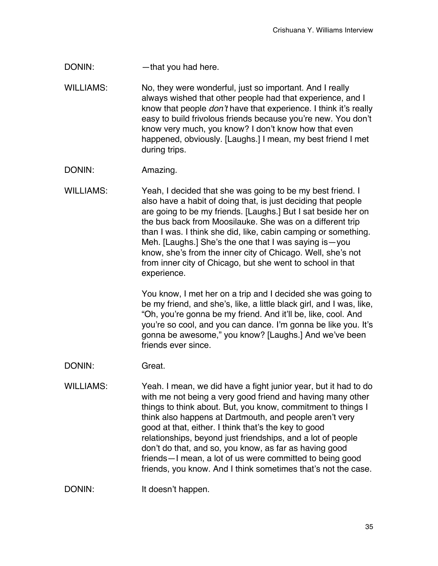DONIN: — — — that you had here.

WILLIAMS: No, they were wonderful, just so important. And I really always wished that other people had that experience, and I know that people *don*'*t* have that experience. I think it's really easy to build frivolous friends because you're new. You don't know very much, you know? I don't know how that even happened, obviously. [Laughs.] I mean, my best friend I met during trips.

DONIN: Amazing.

WILLIAMS: Yeah, I decided that she was going to be my best friend. I also have a habit of doing that, is just deciding that people are going to be my friends. [Laughs.] But I sat beside her on the bus back from Moosilauke. She was on a different trip than I was. I think she did, like, cabin camping or something. Meh. [Laughs.] She's the one that I was saying is—you know, she's from the inner city of Chicago. Well, she's not from inner city of Chicago, but she went to school in that experience.

> You know, I met her on a trip and I decided she was going to be my friend, and she's, like, a little black girl, and I was, like, "Oh, you're gonna be my friend. And it'll be, like, cool. And you're so cool, and you can dance. I'm gonna be like you. It's gonna be awesome," you know? [Laughs.] And we've been friends ever since.

DONIN: Great.

WILLIAMS: Yeah. I mean, we did have a fight junior year, but it had to do with me not being a very good friend and having many other things to think about. But, you know, commitment to things I think also happens at Dartmouth, and people aren't very good at that, either. I think that's the key to good relationships, beyond just friendships, and a lot of people don't do that, and so, you know, as far as having good friends—I mean, a lot of us were committed to being good friends, you know. And I think sometimes that's not the case.

DONIN: It doesn't happen.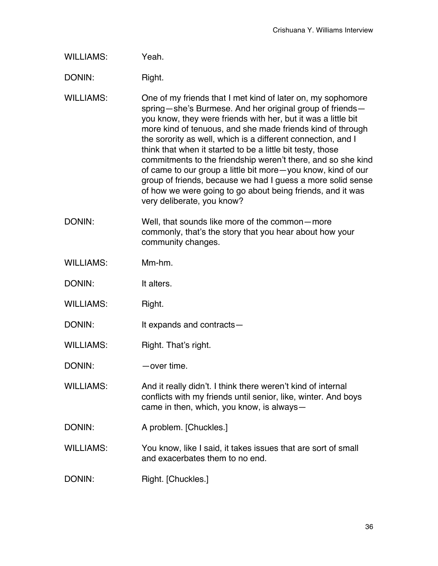WILLIAMS: Yeah.

DONIN: Right.

- WILLIAMS: One of my friends that I met kind of later on, my sophomore spring—she's Burmese. And her original group of friends you know, they were friends with her, but it was a little bit more kind of tenuous, and she made friends kind of through the sorority as well, which is a different connection, and I think that when it started to be a little bit testy, those commitments to the friendship weren't there, and so she kind of came to our group a little bit more—you know, kind of our group of friends, because we had I guess a more solid sense of how we were going to go about being friends, and it was very deliberate, you know?
- DONIN: Well, that sounds like more of the common—more commonly, that's the story that you hear about how your community changes.
- WILLIAMS: Mm-hm.
- DONIN: It alters.
- WILLIAMS: Right.
- DONIN: It expands and contracts—
- WILLIAMS: Right. That's right.

DONIN: —over time.

- WILLIAMS: And it really didn't. I think there weren't kind of internal conflicts with my friends until senior, like, winter. And boys came in then, which, you know, is always—
- DONIN: A problem. [Chuckles.]
- WILLIAMS: You know, like I said, it takes issues that are sort of small and exacerbates them to no end.

DONIN: Right. [Chuckles.]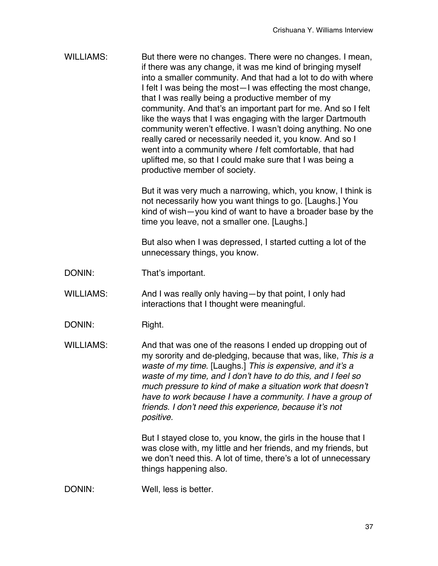WILLIAMS: But there were no changes. There were no changes. I mean, if there was any change, it was me kind of bringing myself into a smaller community. And that had a lot to do with where I felt I was being the most—I was effecting the most change, that I was really being a productive member of my community. And that's an important part for me. And so I felt like the ways that I was engaging with the larger Dartmouth community weren't effective. I wasn't doing anything. No one really cared or necessarily needed it, you know. And so I went into a community where *I* felt comfortable, that had uplifted me, so that I could make sure that I was being a productive member of society.

> But it was very much a narrowing, which, you know, I think is not necessarily how you want things to go. [Laughs.] You kind of wish—you kind of want to have a broader base by the time you leave, not a smaller one. [Laughs.]

But also when I was depressed, I started cutting a lot of the unnecessary things, you know.

- DONIN: That's important.
- WILLIAMS: And I was really only having—by that point, I only had interactions that I thought were meaningful.
- DONIN: Right.
- WILLIAMS: And that was one of the reasons I ended up dropping out of my sorority and de-pledging, because that was, like, *This is a waste of my time*. [Laughs.] *This is expensive, and it*'*s a waste of my time, and I don*'*t have to do this, and I feel so much pressure to kind of make a situation work that doesn*'*t have to work because I have a community. I have a group of friends. I don*'*t need this experience, because it*'*s not positive.*

But I stayed close to, you know, the girls in the house that I was close with, my little and her friends, and my friends, but we don't need this. A lot of time, there's a lot of unnecessary things happening also.

DONIN: Well, less is better.